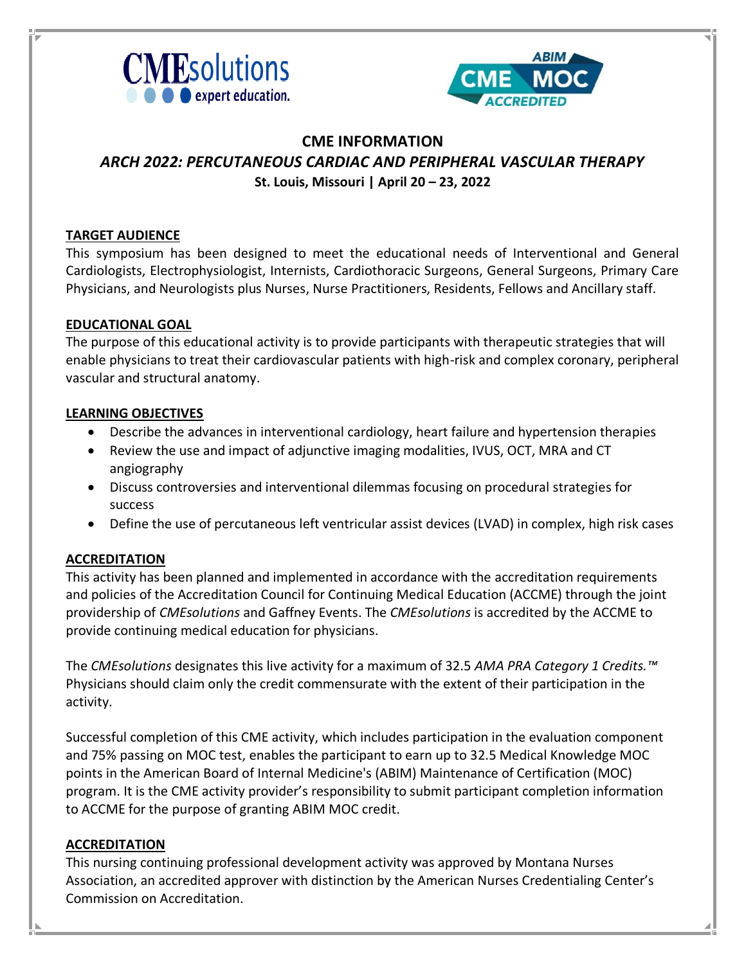



## **CME INFORMATION**  *ARCH 2022: PERCUTANEOUS CARDIAC AND PERIPHERAL VASCULAR THERAPY* **St. Louis, Missouri | April 20 – 23, 2022**

### **TARGET AUDIENCE**

This symposium has been designed to meet the educational needs of Interventional and General Cardiologists, Electrophysiologist, Internists, Cardiothoracic Surgeons, General Surgeons, Primary Care Physicians, and Neurologists plus Nurses, Nurse Practitioners, Residents, Fellows and Ancillary staff.

## **EDUCATIONAL GOAL**

The purpose of this educational activity is to provide participants with therapeutic strategies that will enable physicians to treat their cardiovascular patients with high-risk and complex coronary, peripheral vascular and structural anatomy.

### **LEARNING OBJECTIVES**

- Describe the advances in interventional cardiology, heart failure and hypertension therapies
- Review the use and impact of adjunctive imaging modalities, IVUS, OCT, MRA and CT angiography
- Discuss controversies and interventional dilemmas focusing on procedural strategies for success
- Define the use of percutaneous left ventricular assist devices (LVAD) in complex, high risk cases

## **ACCREDITATION**

This activity has been planned and implemented in accordance with the accreditation requirements and policies of the Accreditation Council for Continuing Medical Education (ACCME) through the joint providership of *CMEsolutions* and Gaffney Events. The *CMEsolutions* is accredited by the ACCME to provide continuing medical education for physicians.

The *CMEsolutions* designates this live activity for a maximum of 32.5 *AMA PRA Category 1 Credits.™* Physicians should claim only the credit commensurate with the extent of their participation in the activity.

Successful completion of this CME activity, which includes participation in the evaluation component and 75% passing on MOC test, enables the participant to earn up to 32.5 Medical Knowledge MOC points in the American Board of Internal Medicine's (ABIM) Maintenance of Certification (MOC) program. It is the CME activity provider's responsibility to submit participant completion information to ACCME for the purpose of granting ABIM MOC credit.

### **ACCREDITATION**

This nursing continuing professional development activity was approved by Montana Nurses Association, an accredited approver with distinction by the American Nurses Credentialing Center's Commission on Accreditation.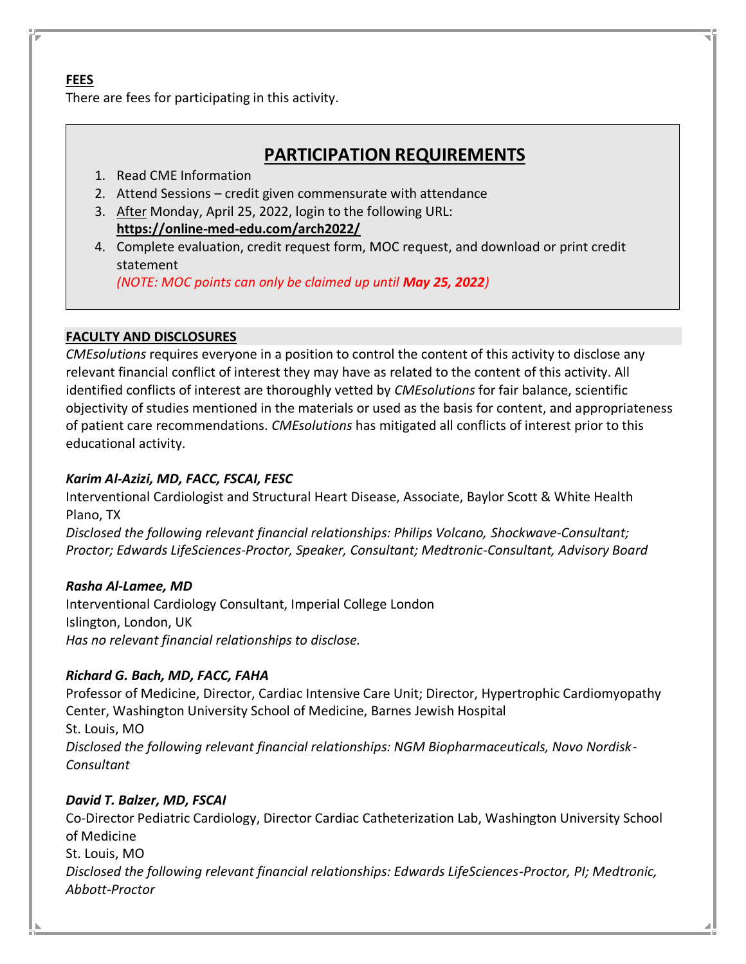### **FEES** There are fees for participating in this activity.

# **PARTICIPATION REQUIREMENTS**

## 1. Read CME Information

- 2. Attend Sessions credit given commensurate with attendance
- 3. After Monday, April 25, 2022, login to the following URL: **<https://online-med-edu.com/arch2022/>**
- 4. Complete evaluation, credit request form, MOC request, and download or print credit statement

*(NOTE: MOC points can only be claimed up until May 25, 2022)*

## **FACULTY AND DISCLOSURES**

*CMEsolutions* requires everyone in a position to control the content of this activity to disclose any relevant financial conflict of interest they may have as related to the content of this activity. All identified conflicts of interest are thoroughly vetted by *CMEsolutions* for fair balance, scientific objectivity of studies mentioned in the materials or used as the basis for content, and appropriateness of patient care recommendations. *CMEsolutions* has mitigated all conflicts of interest prior to this educational activity.

## *Karim Al-Azizi, MD, FACC, FSCAI, FESC*

Interventional Cardiologist and Structural Heart Disease, Associate, Baylor Scott & White Health Plano, TX

*Disclosed the following relevant financial relationships: Philips Volcano, Shockwave-Consultant; Proctor; Edwards LifeSciences-Proctor, Speaker, Consultant; Medtronic-Consultant, Advisory Board*

## *Rasha Al-Lamee, MD*

Interventional Cardiology Consultant, Imperial College London Islington, London, UK *Has no relevant financial relationships to disclose.*

## *Richard G. Bach, MD, FACC, FAHA*

Professor of Medicine, Director, Cardiac Intensive Care Unit; Director, Hypertrophic Cardiomyopathy Center, Washington University School of Medicine, Barnes Jewish Hospital St. Louis, MO *Disclosed the following relevant financial relationships: NGM Biopharmaceuticals, Novo Nordisk-Consultant*

## *David T. Balzer, MD, FSCAI*

Co-Director Pediatric Cardiology, Director Cardiac Catheterization Lab, Washington University School of Medicine St. Louis, MO *Disclosed the following relevant financial relationships: Edwards LifeSciences-Proctor, PI; Medtronic, Abbott-Proctor*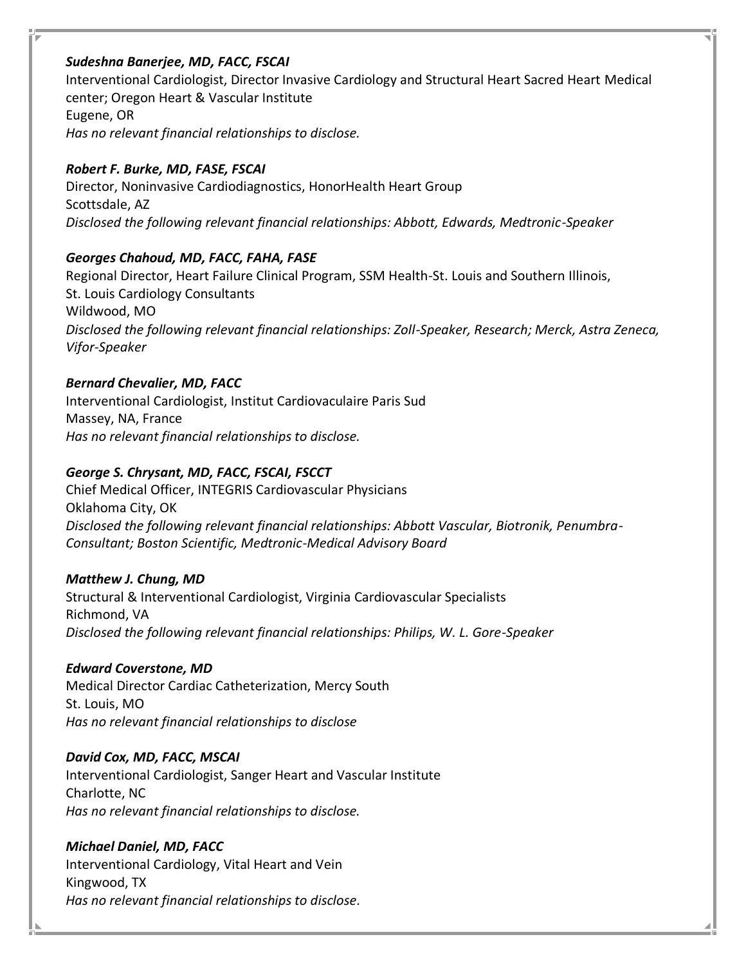### *Sudeshna Banerjee, MD, FACC, FSCAI*

Interventional Cardiologist, Director Invasive Cardiology and Structural Heart Sacred Heart Medical center; Oregon Heart & Vascular Institute Eugene, OR *Has no relevant financial relationships to disclose.*

## *Robert F. Burke, MD, FASE, FSCAI*

Director, Noninvasive Cardiodiagnostics, HonorHealth Heart Group Scottsdale, AZ *Disclosed the following relevant financial relationships: Abbott, Edwards, Medtronic-Speaker*

## *Georges Chahoud, MD, FACC, FAHA, FASE*

Regional Director, Heart Failure Clinical Program, SSM Health-St. Louis and Southern Illinois, St. Louis Cardiology Consultants Wildwood, MO *Disclosed the following relevant financial relationships: Zoll-Speaker, Research; Merck, Astra Zeneca, Vifor-Speaker*

## *Bernard Chevalier, MD, FACC*

Interventional Cardiologist, Institut Cardiovaculaire Paris Sud Massey, NA, France *Has no relevant financial relationships to disclose.*

## *George S. Chrysant, MD, FACC, FSCAI, FSCCT*

Chief Medical Officer, INTEGRIS Cardiovascular Physicians Oklahoma City, OK *Disclosed the following relevant financial relationships: Abbott Vascular, Biotronik, Penumbra-Consultant; Boston Scientific, Medtronic-Medical Advisory Board*

## *Matthew J. Chung, MD*

Structural & Interventional Cardiologist, Virginia Cardiovascular Specialists Richmond, VA *Disclosed the following relevant financial relationships: Philips, W. L. Gore-Speaker*

## *Edward Coverstone, MD*

Medical Director Cardiac Catheterization, Mercy South St. Louis, MO *Has no relevant financial relationships to disclose*

## *David Cox, MD, FACC, MSCAI*

Interventional Cardiologist, Sanger Heart and Vascular Institute Charlotte, NC *Has no relevant financial relationships to disclose.*

## *Michael Daniel, MD, FACC*

Interventional Cardiology, Vital Heart and Vein Kingwood, TX *Has no relevant financial relationships to disclose.*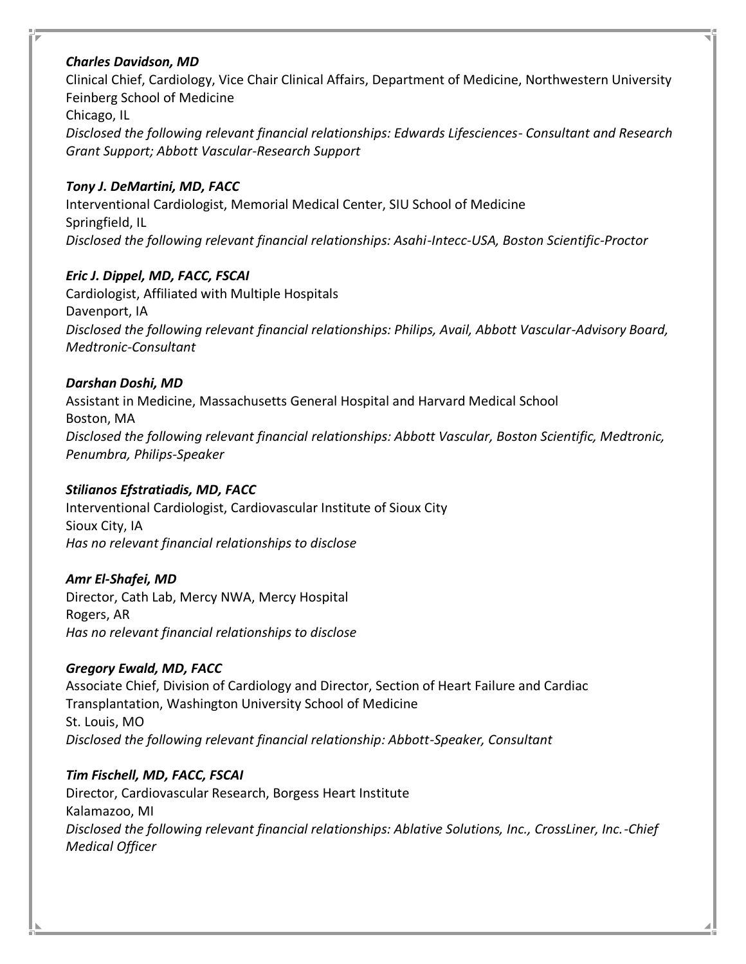## *Charles Davidson, MD*

Clinical Chief, Cardiology, Vice Chair Clinical Affairs, Department of Medicine, Northwestern University Feinberg School of Medicine

Chicago, IL

*Disclosed the following relevant financial relationships: Edwards Lifesciences- Consultant and Research Grant Support; Abbott Vascular-Research Support*

## *Tony J. DeMartini, MD, FACC*

Interventional Cardiologist, Memorial Medical Center, SIU School of Medicine Springfield, IL *Disclosed the following relevant financial relationships: Asahi-Intecc-USA, Boston Scientific-Proctor*

## *Eric J. Dippel, MD, FACC, FSCAI*

Cardiologist, Affiliated with Multiple Hospitals Davenport, IA *Disclosed the following relevant financial relationships: Philips, Avail, Abbott Vascular-Advisory Board, Medtronic-Consultant*

## *Darshan Doshi, MD*

Assistant in Medicine, Massachusetts General Hospital and Harvard Medical School Boston, MA *Disclosed the following relevant financial relationships: Abbott Vascular, Boston Scientific, Medtronic, Penumbra, Philips-Speaker*

## *Stilianos Efstratiadis, MD, FACC*

Interventional Cardiologist, Cardiovascular Institute of Sioux City Sioux City, IA *Has no relevant financial relationships to disclose*

## *Amr El-Shafei, MD*

Director, Cath Lab, Mercy NWA, Mercy Hospital Rogers, AR *Has no relevant financial relationships to disclose*

## *Gregory Ewald, MD, FACC*

Associate Chief, Division of Cardiology and Director, Section of Heart Failure and Cardiac Transplantation, Washington University School of Medicine St. Louis, MO *Disclosed the following relevant financial relationship: Abbott-Speaker, Consultant*

## *Tim Fischell, MD, FACC, FSCAI*

Director, Cardiovascular Research, Borgess Heart Institute Kalamazoo, MI *Disclosed the following relevant financial relationships: Ablative Solutions, Inc., CrossLiner, Inc.-Chief Medical Officer*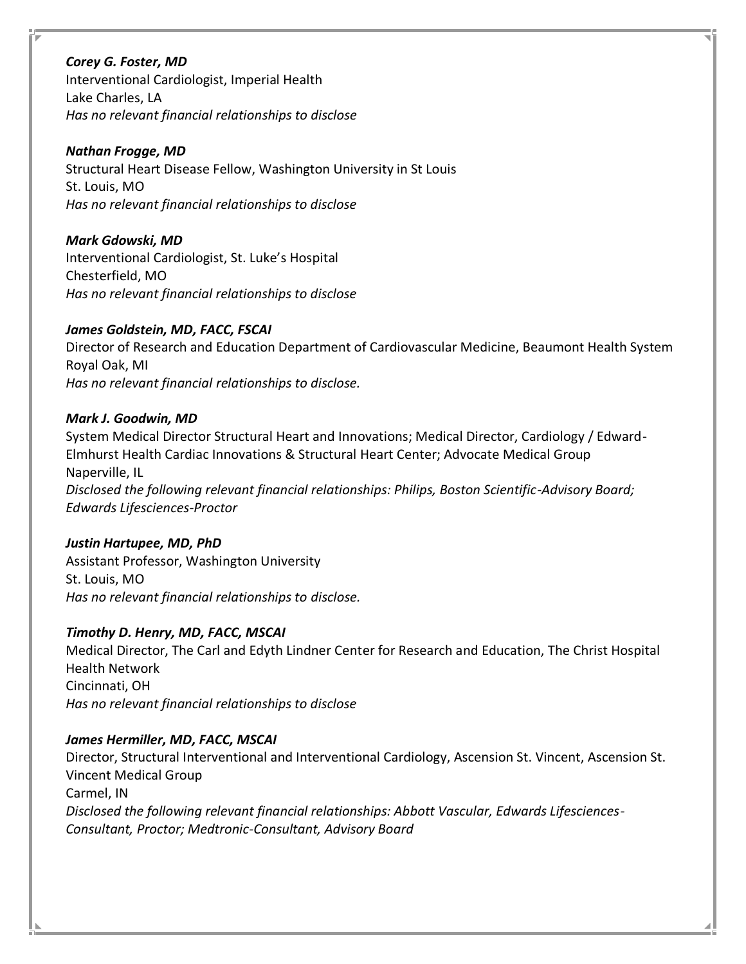*Corey G. Foster, MD* Interventional Cardiologist, Imperial Health Lake Charles, LA *Has no relevant financial relationships to disclose*

### *Nathan Frogge, MD*

Structural Heart Disease Fellow, Washington University in St Louis St. Louis, MO *Has no relevant financial relationships to disclose*

*Mark Gdowski, MD*

Interventional Cardiologist, St. Luke's Hospital Chesterfield, MO *Has no relevant financial relationships to disclose*

## *James Goldstein, MD, FACC, FSCAI*

Director of Research and Education Department of Cardiovascular Medicine, Beaumont Health System Royal Oak, MI *Has no relevant financial relationships to disclose.*

## *Mark J. Goodwin, MD*

System Medical Director Structural Heart and Innovations; Medical Director, Cardiology / Edward-Elmhurst Health Cardiac Innovations & Structural Heart Center; Advocate Medical Group Naperville, IL

*Disclosed the following relevant financial relationships: Philips, Boston Scientific-Advisory Board; Edwards Lifesciences-Proctor*

## *Justin Hartupee, MD, PhD*

Assistant Professor, Washington University St. Louis, MO *Has no relevant financial relationships to disclose.*

## *Timothy D. Henry, MD, FACC, MSCAI*

Medical Director, The Carl and Edyth Lindner Center for Research and Education, The Christ Hospital Health Network Cincinnati, OH *Has no relevant financial relationships to disclose*

### *James Hermiller, MD, FACC, MSCAI*

Director, Structural Interventional and Interventional Cardiology, Ascension St. Vincent, Ascension St. Vincent Medical Group Carmel, IN *Disclosed the following relevant financial relationships: Abbott Vascular, Edwards Lifesciences-Consultant, Proctor; Medtronic-Consultant, Advisory Board*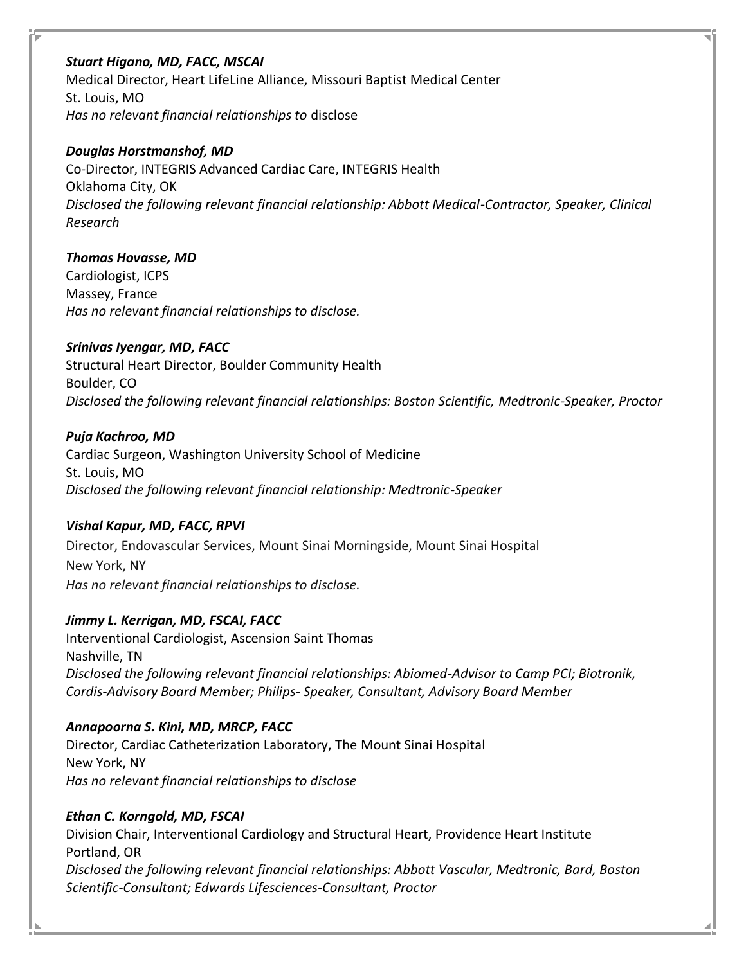### *Stuart Higano, MD, FACC, MSCAI*

Medical Director, Heart LifeLine Alliance, Missouri Baptist Medical Center St. Louis, MO *Has no relevant financial relationships to* disclose

## *Douglas Horstmanshof, MD*

Co-Director, INTEGRIS Advanced Cardiac Care, INTEGRIS Health Oklahoma City, OK *Disclosed the following relevant financial relationship: Abbott Medical-Contractor, Speaker, Clinical Research*

## *Thomas Hovasse, MD*

Cardiologist, ICPS Massey, France *Has no relevant financial relationships to disclose.*

## *Srinivas Iyengar, MD, FACC*

Structural Heart Director, Boulder Community Health Boulder, CO *Disclosed the following relevant financial relationships: Boston Scientific, Medtronic-Speaker, Proctor*

## *Puja Kachroo, MD*

Cardiac Surgeon, Washington University School of Medicine St. Louis, MO *Disclosed the following relevant financial relationship: Medtronic-Speaker*

## *Vishal Kapur, MD, FACC, RPVI*

Director, Endovascular Services, Mount Sinai Morningside, Mount Sinai Hospital New York, NY *Has no relevant financial relationships to disclose.*

## *Jimmy L. Kerrigan, MD, FSCAI, FACC*

Interventional Cardiologist, Ascension Saint Thomas Nashville, TN *Disclosed the following relevant financial relationships: Abiomed-Advisor to Camp PCI; Biotronik, Cordis-Advisory Board Member; Philips- Speaker, Consultant, Advisory Board Member*

## *Annapoorna S. Kini, MD, MRCP, FACC*

Director, Cardiac Catheterization Laboratory, The Mount Sinai Hospital New York, NY *Has no relevant financial relationships to disclose*

## *Ethan C. Korngold, MD, FSCAI*

Division Chair, Interventional Cardiology and Structural Heart, Providence Heart Institute Portland, OR *Disclosed the following relevant financial relationships: Abbott Vascular, Medtronic, Bard, Boston Scientific-Consultant; Edwards Lifesciences-Consultant, Proctor*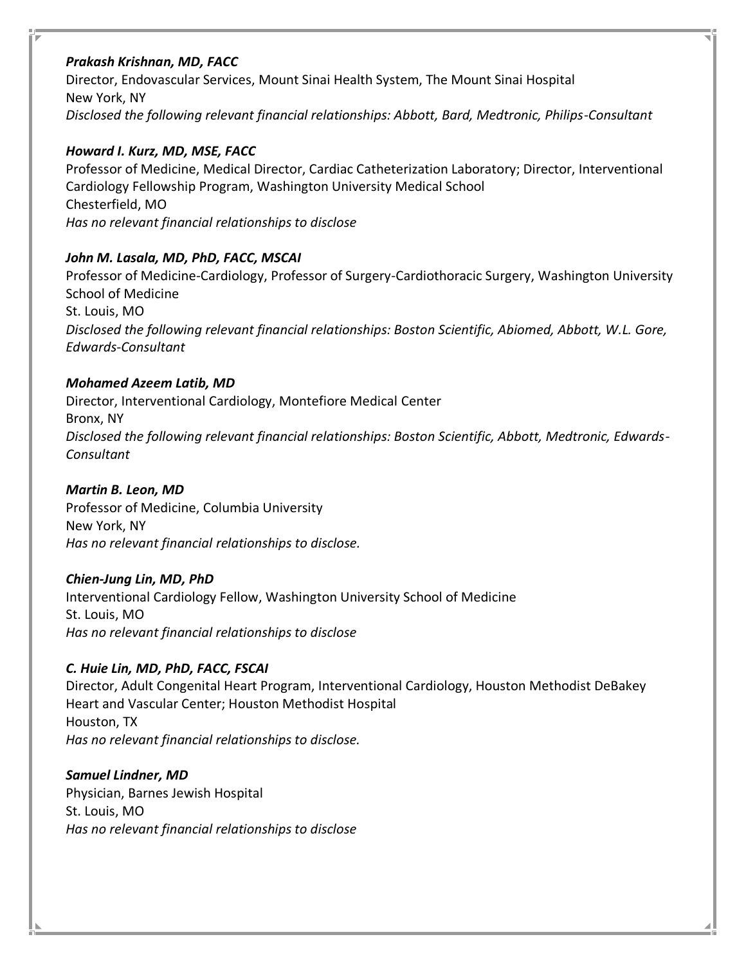## *Prakash Krishnan, MD, FACC*

Director, Endovascular Services, Mount Sinai Health System, The Mount Sinai Hospital New York, NY *Disclosed the following relevant financial relationships: Abbott, Bard, Medtronic, Philips-Consultant*

## *Howard I. Kurz, MD, MSE, FACC*

Professor of Medicine, Medical Director, Cardiac Catheterization Laboratory; Director, Interventional Cardiology Fellowship Program, Washington University Medical School Chesterfield, MO *Has no relevant financial relationships to disclose*

## *John M. Lasala, MD, PhD, FACC, MSCAI*

Professor of Medicine-Cardiology, Professor of Surgery-Cardiothoracic Surgery, Washington University School of Medicine St. Louis, MO *Disclosed the following relevant financial relationships: Boston Scientific, Abiomed, Abbott, W.L. Gore, Edwards-Consultant*

## *Mohamed Azeem Latib, MD*

Director, Interventional Cardiology, Montefiore Medical Center Bronx, NY *Disclosed the following relevant financial relationships: Boston Scientific, Abbott, Medtronic, Edwards-Consultant*

## *Martin B. Leon, MD*

Professor of Medicine, Columbia University New York, NY *Has no relevant financial relationships to disclose.*

## *Chien-Jung Lin, MD, PhD*

Interventional Cardiology Fellow, Washington University School of Medicine St. Louis, MO *Has no relevant financial relationships to disclose*

## *C. Huie Lin, MD, PhD, FACC, FSCAI*

Director, Adult Congenital Heart Program, Interventional Cardiology, Houston Methodist DeBakey Heart and Vascular Center; Houston Methodist Hospital Houston, TX *Has no relevant financial relationships to disclose.*

## *Samuel Lindner, MD* Physician, Barnes Jewish Hospital St. Louis, MO *Has no relevant financial relationships to disclose*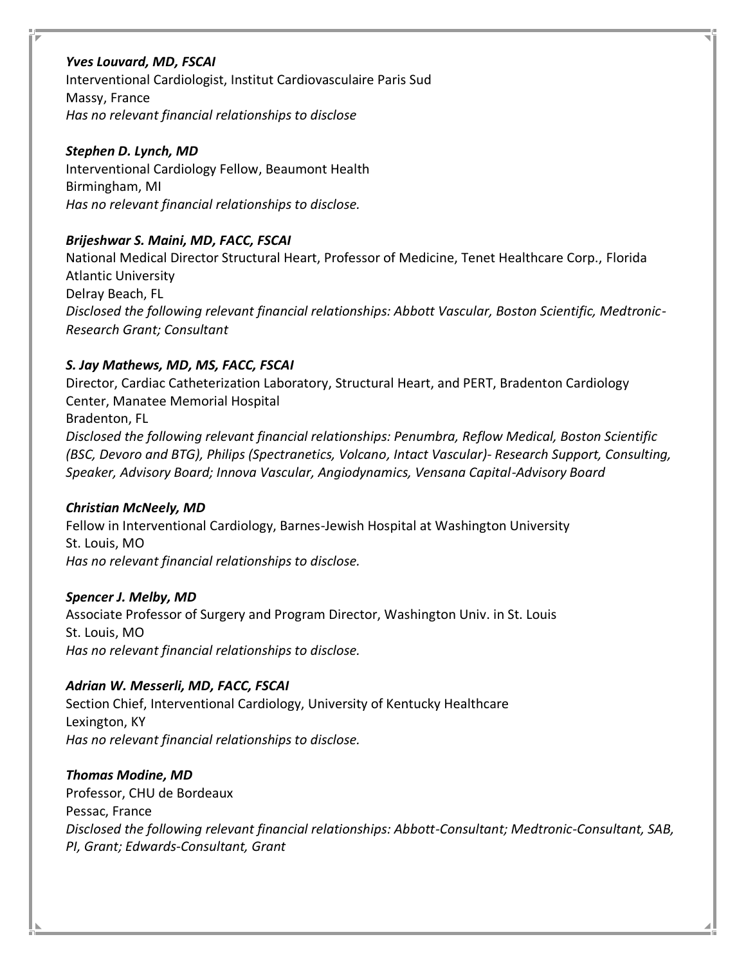### *Yves Louvard, MD, FSCAI*

Interventional Cardiologist, Institut Cardiovasculaire Paris Sud Massy, France *Has no relevant financial relationships to disclose*

#### *Stephen D. Lynch, MD*

Interventional Cardiology Fellow, Beaumont Health Birmingham, MI *Has no relevant financial relationships to disclose.*

## *Brijeshwar S. Maini, MD, FACC, FSCAI*

National Medical Director Structural Heart, Professor of Medicine, Tenet Healthcare Corp., Florida Atlantic University Delray Beach, FL *Disclosed the following relevant financial relationships: Abbott Vascular, Boston Scientific, Medtronic-Research Grant; Consultant*

## *S. Jay Mathews, MD, MS, FACC, FSCAI*

Director, Cardiac Catheterization Laboratory, Structural Heart, and PERT, Bradenton Cardiology Center, Manatee Memorial Hospital Bradenton, FL *Disclosed the following relevant financial relationships: Penumbra, Reflow Medical, Boston Scientific (BSC, Devoro and BTG), Philips (Spectranetics, Volcano, Intact Vascular)- Research Support, Consulting, Speaker, Advisory Board; Innova Vascular, Angiodynamics, Vensana Capital-Advisory Board*

### *Christian McNeely, MD*

Fellow in Interventional Cardiology, Barnes-Jewish Hospital at Washington University St. Louis, MO *Has no relevant financial relationships to disclose.*

### *Spencer J. Melby, MD*

Associate Professor of Surgery and Program Director, Washington Univ. in St. Louis St. Louis, MO *Has no relevant financial relationships to disclose.*

## *Adrian W. Messerli, MD, FACC, FSCAI*

Section Chief, Interventional Cardiology, University of Kentucky Healthcare Lexington, KY *Has no relevant financial relationships to disclose.*

### *Thomas Modine, MD*

Professor, CHU de Bordeaux Pessac, France *Disclosed the following relevant financial relationships: Abbott-Consultant; Medtronic-Consultant, SAB, PI, Grant; Edwards-Consultant, Grant*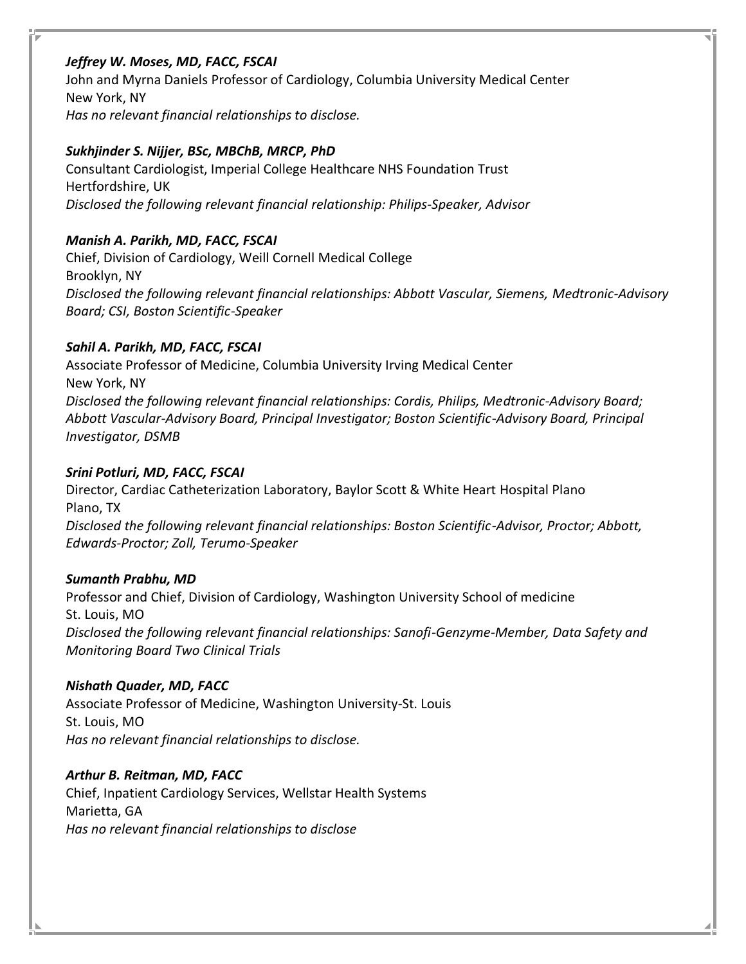## *Jeffrey W. Moses, MD, FACC, FSCAI*

John and Myrna Daniels Professor of Cardiology, Columbia University Medical Center New York, NY *Has no relevant financial relationships to disclose.*

## *Sukhjinder S. Nijjer, BSc, MBChB, MRCP, PhD*

Consultant Cardiologist, Imperial College Healthcare NHS Foundation Trust Hertfordshire, UK *Disclosed the following relevant financial relationship: Philips-Speaker, Advisor*

## *Manish A. Parikh, MD, FACC, FSCAI*

Chief, Division of Cardiology, Weill Cornell Medical College Brooklyn, NY *Disclosed the following relevant financial relationships: Abbott Vascular, Siemens, Medtronic-Advisory Board; CSI, Boston Scientific-Speaker*

## *Sahil A. Parikh, MD, FACC, FSCAI*

Associate Professor of Medicine, Columbia University Irving Medical Center New York, NY *Disclosed the following relevant financial relationships: Cordis, Philips, Medtronic-Advisory Board; Abbott Vascular-Advisory Board, Principal Investigator; Boston Scientific-Advisory Board, Principal Investigator, DSMB*

## *Srini Potluri, MD, FACC, FSCAI*

Director, Cardiac Catheterization Laboratory, Baylor Scott & White Heart Hospital Plano Plano, TX *Disclosed the following relevant financial relationships: Boston Scientific-Advisor, Proctor; Abbott, Edwards-Proctor; Zoll, Terumo-Speaker*

## *Sumanth Prabhu, MD*

Professor and Chief, Division of Cardiology, Washington University School of medicine St. Louis, MO *Disclosed the following relevant financial relationships: Sanofi-Genzyme-Member, Data Safety and Monitoring Board Two Clinical Trials*

### *Nishath Quader, MD, FACC*

Associate Professor of Medicine, Washington University-St. Louis St. Louis, MO *Has no relevant financial relationships to disclose.*

### *Arthur B. Reitman, MD, FACC*

Chief, Inpatient Cardiology Services, Wellstar Health Systems Marietta, GA *Has no relevant financial relationships to disclose*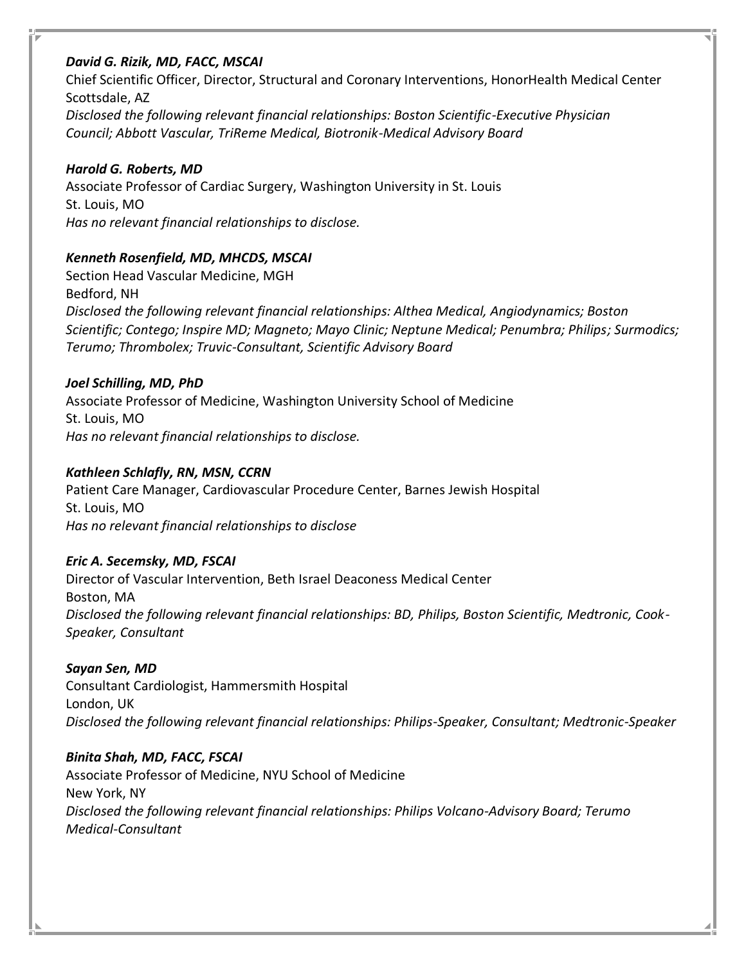### *David G. Rizik, MD, FACC, MSCAI*

Chief Scientific Officer, Director, Structural and Coronary Interventions, HonorHealth Medical Center Scottsdale, AZ *Disclosed the following relevant financial relationships: Boston Scientific-Executive Physician Council; Abbott Vascular, TriReme Medical, Biotronik-Medical Advisory Board*

## *Harold G. Roberts, MD*

Associate Professor of Cardiac Surgery, Washington University in St. Louis St. Louis, MO *Has no relevant financial relationships to disclose.*

## *Kenneth Rosenfield, MD, MHCDS, MSCAI*

Section Head Vascular Medicine, MGH Bedford, NH *Disclosed the following relevant financial relationships: Althea Medical, Angiodynamics; Boston Scientific; Contego; Inspire MD; Magneto; Mayo Clinic; Neptune Medical; Penumbra; Philips; Surmodics; Terumo; Thrombolex; Truvic-Consultant, Scientific Advisory Board*

## *Joel Schilling, MD, PhD*

Associate Professor of Medicine, Washington University School of Medicine St. Louis, MO *Has no relevant financial relationships to disclose.*

## *Kathleen Schlafly, RN, MSN, CCRN*

Patient Care Manager, Cardiovascular Procedure Center, Barnes Jewish Hospital St. Louis, MO *Has no relevant financial relationships to disclose*

## *Eric A. Secemsky, MD, FSCAI*

Director of Vascular Intervention, Beth Israel Deaconess Medical Center Boston, MA *Disclosed the following relevant financial relationships: BD, Philips, Boston Scientific, Medtronic, Cook-Speaker, Consultant*

## *Sayan Sen, MD*

Consultant Cardiologist, Hammersmith Hospital London, UK *Disclosed the following relevant financial relationships: Philips-Speaker, Consultant; Medtronic-Speaker*

*Binita Shah, MD, FACC, FSCAI* Associate Professor of Medicine, NYU School of Medicine New York, NY *Disclosed the following relevant financial relationships: Philips Volcano-Advisory Board; Terumo Medical-Consultant*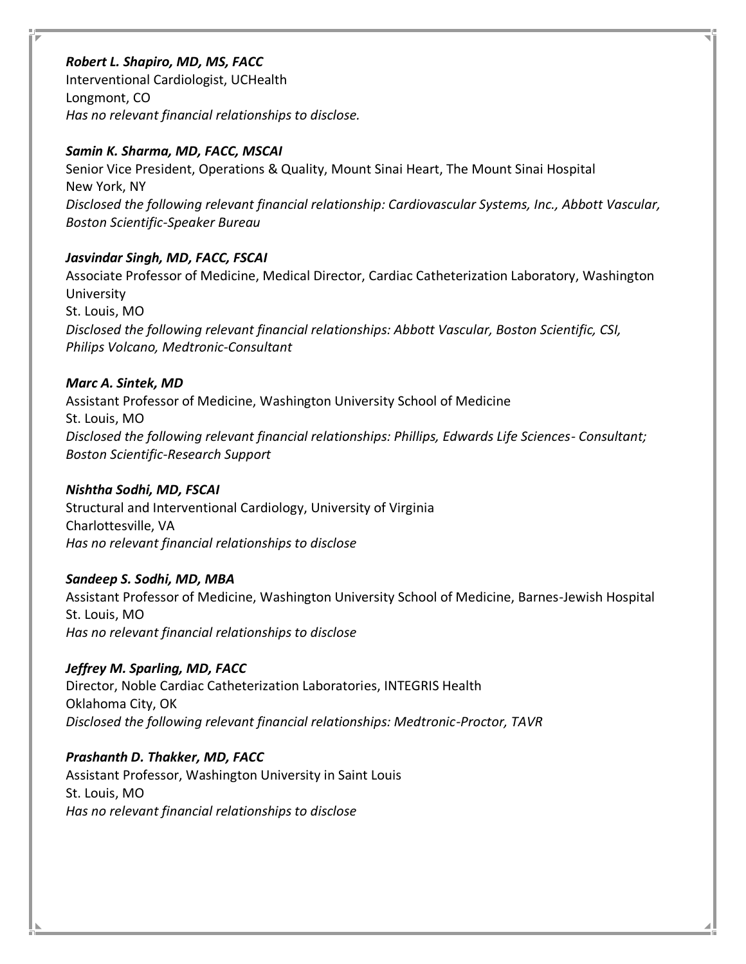### *Robert L. Shapiro, MD, MS, FACC*

Interventional Cardiologist, UCHealth Longmont, CO *Has no relevant financial relationships to disclose.*

### *Samin K. Sharma, MD, FACC, MSCAI*

Senior Vice President, Operations & Quality, Mount Sinai Heart, The Mount Sinai Hospital New York, NY *Disclosed the following relevant financial relationship: Cardiovascular Systems, Inc., Abbott Vascular, Boston Scientific-Speaker Bureau*

## *Jasvindar Singh, MD, FACC, FSCAI*

Associate Professor of Medicine, Medical Director, Cardiac Catheterization Laboratory, Washington University St. Louis, MO *Disclosed the following relevant financial relationships: Abbott Vascular, Boston Scientific, CSI, Philips Volcano, Medtronic-Consultant*

## *Marc A. Sintek, MD*

Assistant Professor of Medicine, Washington University School of Medicine St. Louis, MO *Disclosed the following relevant financial relationships: Phillips, Edwards Life Sciences- Consultant; Boston Scientific-Research Support*

## *Nishtha Sodhi, MD, FSCAI*

Structural and Interventional Cardiology, University of Virginia Charlottesville, VA *Has no relevant financial relationships to disclose*

## *Sandeep S. Sodhi, MD, MBA*

Assistant Professor of Medicine, Washington University School of Medicine, Barnes-Jewish Hospital St. Louis, MO *Has no relevant financial relationships to disclose*

## *Jeffrey M. Sparling, MD, FACC*

Director, Noble Cardiac Catheterization Laboratories, INTEGRIS Health Oklahoma City, OK *Disclosed the following relevant financial relationships: Medtronic-Proctor, TAVR*

## *Prashanth D. Thakker, MD, FACC*

Assistant Professor, Washington University in Saint Louis St. Louis, MO *Has no relevant financial relationships to disclose*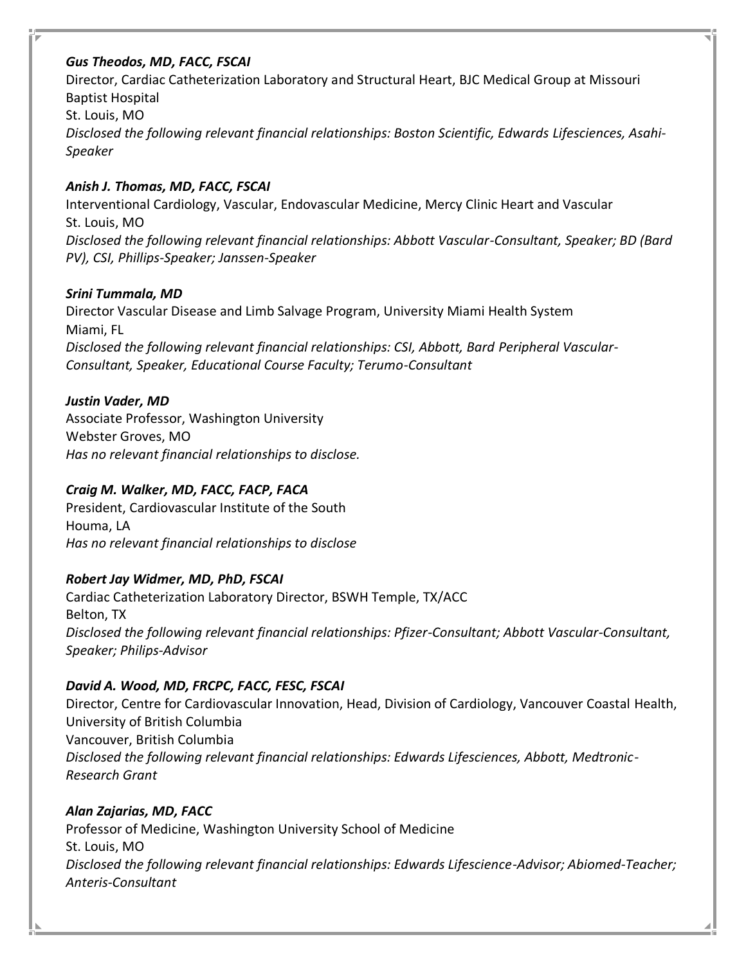## *Gus Theodos, MD, FACC, FSCAI*

Director, Cardiac Catheterization Laboratory and Structural Heart, BJC Medical Group at Missouri Baptist Hospital St. Louis, MO *Disclosed the following relevant financial relationships: Boston Scientific, Edwards Lifesciences, Asahi-Speaker*

## *Anish J. Thomas, MD, FACC, FSCAI*

Interventional Cardiology, Vascular, Endovascular Medicine, Mercy Clinic Heart and Vascular St. Louis, MO *Disclosed the following relevant financial relationships: Abbott Vascular-Consultant, Speaker; BD (Bard PV), CSI, Phillips-Speaker; Janssen-Speaker*

## *Srini Tummala, MD*

Director Vascular Disease and Limb Salvage Program, University Miami Health System Miami, FL *Disclosed the following relevant financial relationships: CSI, Abbott, Bard Peripheral Vascular-Consultant, Speaker, Educational Course Faculty; Terumo-Consultant*

## *Justin Vader, MD*

Associate Professor, Washington University Webster Groves, MO *Has no relevant financial relationships to disclose.*

## *Craig M. Walker, MD, FACC, FACP, FACA*

President, Cardiovascular Institute of the South Houma, LA *Has no relevant financial relationships to disclose*

## *Robert Jay Widmer, MD, PhD, FSCAI*

Cardiac Catheterization Laboratory Director, BSWH Temple, TX/ACC Belton, TX *Disclosed the following relevant financial relationships: Pfizer-Consultant; Abbott Vascular-Consultant, Speaker; Philips-Advisor*

## *David A. Wood, MD, FRCPC, FACC, FESC, FSCAI*

Director, Centre for Cardiovascular Innovation, Head, Division of Cardiology, Vancouver Coastal Health, University of British Columbia Vancouver, British Columbia *Disclosed the following relevant financial relationships: Edwards Lifesciences, Abbott, Medtronic-Research Grant*

## *Alan Zajarias, MD, FACC*

Professor of Medicine, Washington University School of Medicine St. Louis, MO *Disclosed the following relevant financial relationships: Edwards Lifescience-Advisor; Abiomed-Teacher; Anteris-Consultant*